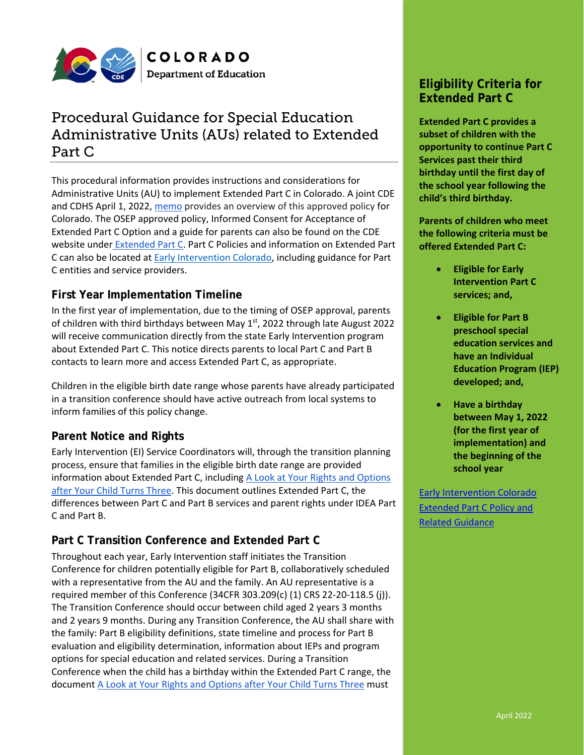

# Procedural Guidance for Special Education Administrative Units (AUs) related to Extended Part C

This procedural information provides instructions and considerations for Administrative Units (AU) to implement Extended Part C in Colorado. A joint CDE and CDHS April 1, 2022, [memo](http://www.cde.state.co.us/early/cfpreresources#extended) provides an overview of this approved policy for Colorado. The OSEP approved policy, Informed Consent for Acceptance of Extended Part C Option and a guide for parents can also be found on the CDE website under **[Extended Part C.](http://www.cde.state.co.us/early/cfpreresources#extended) Part C Policies and information on Extended Part** C can also be located at [Early Intervention Colorado,](https://coloradoofficeofearlychildhood.secure.force.com/eicolorado/EI_Home?lang=en) including guidance for Part C entities and service providers.

## **First Year Implementation Timeline**

In the first year of implementation, due to the timing of OSEP approval, parents of children with third birthdays between May 1st, 2022 through late August 2022 will receive communication directly from the state Early Intervention program about Extended Part C. This notice directs parents to local Part C and Part B contacts to learn more and access Extended Part C, as appropriate.

Children in the eligible birth date range whose parents have already participated in a transition conference should have active outreach from local systems to inform families of this policy change.

## **Parent Notice and Rights**

Early Intervention (EI) Service Coordinators will, through the transition planning process, ensure that families in the eligible birth date range are provided information about Extended Part C, including [A Look at Your Rights and Options](http://www.cde.state.co.us/early/partcparentinfo)  [after Your Child Turns Three.](http://www.cde.state.co.us/early/partcparentinfo) This document outlines Extended Part C, the differences between Part C and Part B services and parent rights under IDEA Part C and Part B.

## **Part C Transition Conference and Extended Part C**

Throughout each year, Early Intervention staff initiates the Transition Conference for children potentially eligible for Part B, collaboratively scheduled with a representative from the AU and the family. An AU representative is a required member of this Conference (34CFR 303.209(c) (1) CRS 22-20-118.5 (j)). The Transition Conference should occur between child aged 2 years 3 months and 2 years 9 months. During any Transition Conference, the AU shall share with the family: Part B eligibility definitions, state timeline and process for Part B evaluation and eligibility determination, information about IEPs and program options for special education and related services. During a Transition Conference when the child has a birthday within the Extended Part C range, the document [A Look at Your Rights and Options after Your Child Turns Three](http://www.cde.state.co.us/early/partcparentinfo) must

## **Eligibility Criteria for Extended Part C**

**Extended Part C provides a subset of children with the opportunity to continue Part C Services past their third birthday until the first day of the school year following the child's third birthday.** 

**Parents of children who meet the following criteria must be offered Extended Part C:**

- **Eligible for Early Intervention Part C services; and,**
- **Eligible for Part B preschool special education services and have an Individual Education Program (IEP) developed; and,**
- **Have a birthday between May 1, 2022 (for the first year of implementation) and the beginning of the school year**

**[Early Intervention Colorado](http://www.cde.state.co.us/early/cfpreresources#extended)** [Extended Part C Policy and](http://www.cde.state.co.us/early/cfpreresources#extended)  Related [Guidance](http://www.cde.state.co.us/early/cfpreresources#extended)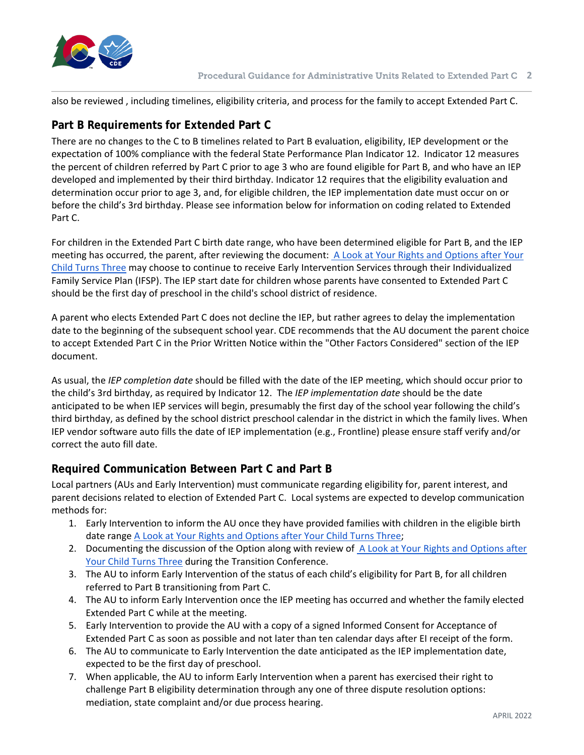

also be reviewed , including timelines, eligibility criteria, and process for the family to accept Extended Part C.

## **Part B Requirements for Extended Part C**

There are no changes to the C to B timelines related to Part B evaluation, eligibility, IEP development or the expectation of 100% compliance with the federal State Performance Plan Indicator 12. Indicator 12 measures the percent of children referred by Part C prior to age 3 who are found eligible for Part B, and who have an IEP developed and implemented by their third birthday. Indicator 12 requires that the eligibility evaluation and determination occur prior to age 3, and, for eligible children, the IEP implementation date must occur on or before the child's 3rd birthday. Please see information below for information on coding related to Extended Part C.

For children in the Extended Part C birth date range, who have been determined eligible for Part B, and the IEP meeting has occurred, the parent, after reviewing the document: A Look at Your Rights and Options after Your [Child Turns Three](http://www.cde.state.co.us/early/partcparentinfo) may choose to continue to receive Early Intervention Services through their Individualized Family Service Plan (IFSP). The IEP start date for children whose parents have consented to Extended Part C should be the first day of preschool in the child's school district of residence.

A parent who elects Extended Part C does not decline the IEP, but rather agrees to delay the implementation date to the beginning of the subsequent school year. CDE recommends that the AU document the parent choice to accept Extended Part C in the Prior Written Notice within the "Other Factors Considered" section of the IEP document.

As usual, the *IEP completion date* should be filled with the date of the IEP meeting, which should occur prior to the child's 3rd birthday, as required by Indicator 12. The *IEP implementation date* should be the date anticipated to be when IEP services will begin, presumably the first day of the school year following the child's third birthday, as defined by the school district preschool calendar in the district in which the family lives. When IEP vendor software auto fills the date of IEP implementation (e.g., Frontline) please ensure staff verify and/or correct the auto fill date.

#### **Required Communication Between Part C and Part B**

Local partners (AUs and Early Intervention) must communicate regarding eligibility for, parent interest, and parent decisions related to election of Extended Part C. Local systems are expected to develop communication methods for:

- 1. Early Intervention to inform the AU once they have provided families with children in the eligible birth date rang[e A Look at Your Rights and Options after Your Child Turns Three;](http://www.cde.state.co.us/early/partcparentinfo)
- 2. Documenting the discussion of the Option along with review of [A Look at Your Rights and Options after](http://www.cde.state.co.us/early/partcparentinfo)  [Your Child Turns Three](http://www.cde.state.co.us/early/partcparentinfo) during the Transition Conference.
- 3. The AU to inform Early Intervention of the status of each child's eligibility for Part B, for all children referred to Part B transitioning from Part C.
- 4. The AU to inform Early Intervention once the IEP meeting has occurred and whether the family elected Extended Part C while at the meeting.
- 5. Early Intervention to provide the AU with a copy of a signed Informed Consent for Acceptance of Extended Part C as soon as possible and not later than ten calendar days after EI receipt of the form.
- 6. The AU to communicate to Early Intervention the date anticipated as the IEP implementation date, expected to be the first day of preschool.
- 7. When applicable, the AU to inform Early Intervention when a parent has exercised their right to challenge Part B eligibility determination through any one of three dispute resolution options: mediation, state complaint and/or due process hearing.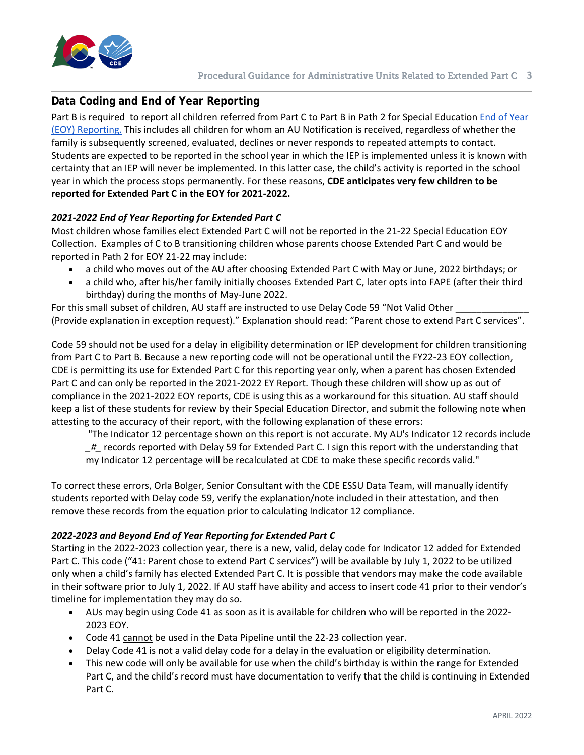

## **Data Coding and End of Year Reporting**

Part B is required to report all children referred from Part C to Part B in Path 2 for Special Education [End of Year](https://www.cde.state.co.us/datapipeline/snap_sped-eoy)  [\(EOY\) Reporting.](https://www.cde.state.co.us/datapipeline/snap_sped-eoy) This includes all children for whom an AU Notification is received, regardless of whether the family is subsequently screened, evaluated, declines or never responds to repeated attempts to contact. Students are expected to be reported in the school year in which the IEP is implemented unless it is known with certainty that an IEP will never be implemented. In this latter case, the child's activity is reported in the school year in which the process stops permanently. For these reasons, **CDE anticipates very few children to be reported for Extended Part C in the EOY for 2021-2022.**

#### *2021-2022 End of Year Reporting for Extended Part C*

Most children whose families elect Extended Part C will not be reported in the 21-22 Special Education EOY Collection. Examples of C to B transitioning children whose parents choose Extended Part C and would be reported in Path 2 for EOY 21-22 may include:

- a child who moves out of the AU after choosing Extended Part C with May or June, 2022 birthdays; or
- a child who, after his/her family initially chooses Extended Part C, later opts into FAPE (after their third birthday) during the months of May-June 2022.

For this small subset of children, AU staff are instructed to use Delay Code 59 "Not Valid Other \_ (Provide explanation in exception request)." Explanation should read: "Parent chose to extend Part C services".

Code 59 should not be used for a delay in eligibility determination or IEP development for children transitioning from Part C to Part B. Because a new reporting code will not be operational until the FY22-23 EOY collection, CDE is permitting its use for Extended Part C for this reporting year only, when a parent has chosen Extended Part C and can only be reported in the 2021-2022 EY Report. Though these children will show up as out of compliance in the 2021-2022 EOY reports, CDE is using this as a workaround for this situation. AU staff should keep a list of these students for review by their Special Education Director, and submit the following note when attesting to the accuracy of their report, with the following explanation of these errors:

"The Indicator 12 percentage shown on this report is not accurate. My AU's Indicator 12 records include

*\_#\_* records reported with Delay 59 for Extended Part C. I sign this report with the understanding that my Indicator 12 percentage will be recalculated at CDE to make these specific records valid."

To correct these errors, Orla Bolger, Senior Consultant with the CDE ESSU Data Team, will manually identify students reported with Delay code 59, verify the explanation/note included in their attestation, and then remove these records from the equation prior to calculating Indicator 12 compliance.

#### *2022-2023 and Beyond End of Year Reporting for Extended Part C*

Starting in the 2022-2023 collection year, there is a new, valid, delay code for Indicator 12 added for Extended Part C. This code ("41: Parent chose to extend Part C services") will be available by July 1, 2022 to be utilized only when a child's family has elected Extended Part C. It is possible that vendors may make the code available in their software prior to July 1, 2022. If AU staff have ability and access to insert code 41 prior to their vendor's timeline for implementation they may do so.

- AUs may begin using Code 41 as soon as it is available for children who will be reported in the 2022- 2023 EOY.
- Code 41 cannot be used in the Data Pipeline until the 22-23 collection year.
- Delay Code 41 is not a valid delay code for a delay in the evaluation or eligibility determination.
- This new code will only be available for use when the child's birthday is within the range for Extended Part C, and the child's record must have documentation to verify that the child is continuing in Extended Part C.